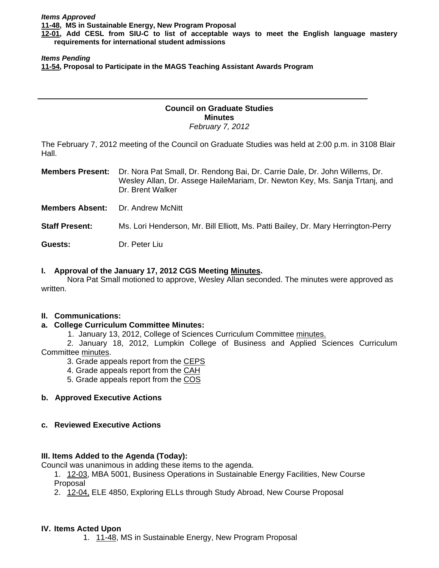**[12-01,](http://castle.eiu.edu/~eiucgs/currentagendaitems/agenda12-01.pdf) Add CESL from SIU-C to list of acceptable ways to meet the English language mastery requirements for international student admissions** 

#### *Items Pending*

**[11-54,](http://castle.eiu.edu/~eiucgs/currentagendaitems/agenda11-54.pdf) Proposal to Participate in the MAGS Teaching Assistant Awards Program** 

#### **Council on Graduate Studies Minutes**  *February 7, 2012*

The February 7, 2012 meeting of the Council on Graduate Studies was held at 2:00 p.m. in 3108 Blair Hall.

**Members Present:** Dr. Nora Pat Small, Dr. Rendong Bai, Dr. Carrie Dale, Dr. John Willems, Dr. Wesley Allan, Dr. Assege HaileMariam, Dr. Newton Key, Ms. Sanja Trtanj, and Dr. Brent Walker

**Members Absent: Dr. Andrew McNitt** 

**Staff Present:** Ms. Lori Henderson, Mr. Bill Elliott, Ms. Patti Bailey, Dr. Mary Herrington-Perry

**Guests:** Dr. Peter Liu

# **I. Approval of the January 17, 2012 CGS Meetin[g Minutes.](http://castle.eiu.edu/eiucgs/currentminutes/Minutes1-17-12.pdf)**

 Nora Pat Small motioned to approve, Wesley Allan seconded. The minutes were approved as written.

### **II. Communications:**

# **a. College Curriculum Committee Minutes:**

1. January 13, 2012, College of Sciences Curriculum Committe[e minutes.](http://castle.eiu.edu/~eiucgs/currentagendaitems/COSMin1-13-12.pdf)

 2. January 18, 2012, Lumpkin College of Business and Applied Sciences Curriculum Commit[tee minutes.](http://castle.eiu.edu/~eiucgs/currentagendaitems/LCBASMin1-18-12.pdf) 

3. Grade appeals report from th[e CEPS](http://castle.eiu.edu/~eiucgs/currentagendaitems/CEPS-gradeappeals-fa11.pdf)

4. Grade appeals report from the [CAH](http://castle.eiu.edu/~eiucgs/currentagendaitems/CAH-gradeappeals-fa11.pdf)

5. Grade appeals report from the [COS](http://castle.eiu.edu/~eiucgs/currentagendaitems/COS-gradeappeals-fa11.pdf) 

### **b. Approved Executive Actions**

### **c. Reviewed Executive Actions**

### **III. Items Added to the Agenda (Today):**

Council was unanimous in adding these items to the agenda.

1. [12-03, M](http://castle.eiu.edu/~eiucgs/currentagendaitems/agenda12-03.pdf)BA 5001, Business Operations in Sustainable Energy Facilities, New Course Proposal

2. [12-04, E](http://castle.eiu.edu/~eiucgs/currentagendaitems/agenda12-04.pdf)LE 4850, Exploring ELLs through Study Abroad, New Course Proposal

### **IV. Items Acted Upon**

1. [11-48, M](http://castle.eiu.edu/~eiucgs/currentagendaitems/agenda11-48.pdf)S in Sustainable Energy, New Program Proposal